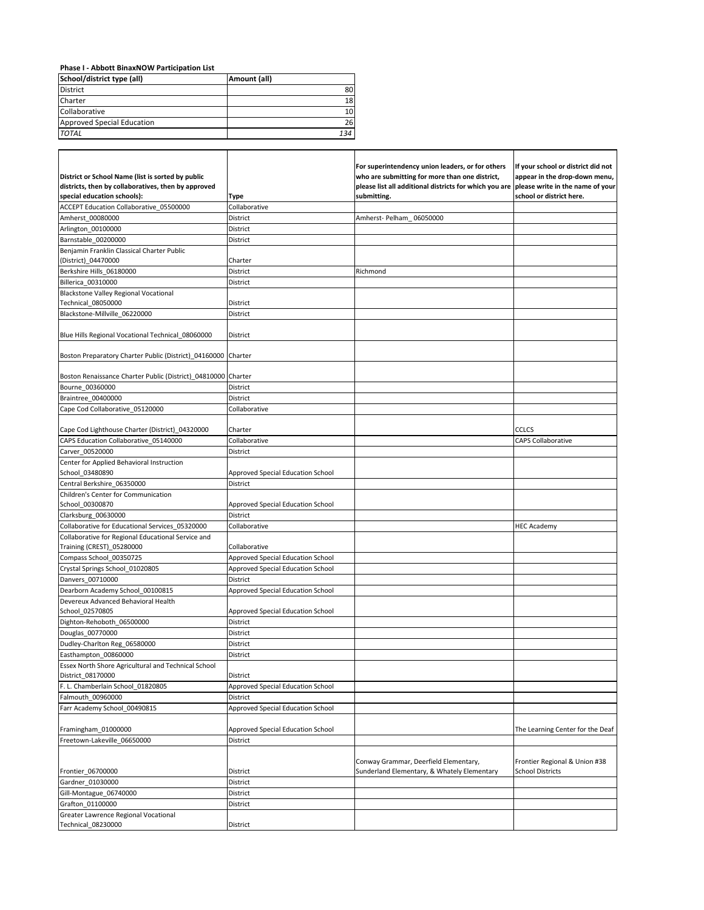## **Phase I - Abbott BinaxNOW Participation List**

| School/district type (all) | Amount (all) |
|----------------------------|--------------|
| <b>District</b>            | 80           |
| Charter                    | 18           |
| Collaborative              | 10           |
| Approved Special Education | 26           |
| <b>TOTAL</b>               | 134          |

| For superintendency union leaders, or for others<br>If your school or district did not<br>District or School Name (list is sorted by public<br>who are submitting for more than one district,<br>appear in the drop-down menu,<br>districts, then by collaboratives, then by approved<br>please list all additional districts for which you are<br>please write in the name of your<br>special education schools):<br>submitting.<br>school or district here.<br>Type<br>Collaborative<br>ACCEPT Education Collaborative 05500000<br>Amherst 00080000<br>District<br>Amherst- Pelham 06050000<br>Arlington 00100000<br>District<br>Barnstable 00200000<br>District<br>Benjamin Franklin Classical Charter Public<br>(District)_04470000<br>Charter<br>Berkshire Hills_06180000<br>District<br>Richmond<br>Billerica 00310000<br>District<br><b>Blackstone Valley Regional Vocational</b><br>Technical 08050000<br>District<br>Blackstone-Millville 06220000<br>District<br>Blue Hills Regional Vocational Technical_08060000<br>District<br>Boston Preparatory Charter Public (District)_04160000<br>Charter<br>Boston Renaissance Charter Public (District) 04810000 Charter<br>Bourne 00360000<br>District<br>Braintree 00400000<br>District<br>Cape Cod Collaborative_05120000<br>Collaborative<br>Cape Cod Lighthouse Charter (District)_04320000<br><b>CCLCS</b><br>Charter<br>CAPS Education Collaborative 05140000<br>Collaborative<br><b>CAPS Collaborative</b><br>Carver 00520000<br>District<br>Center for Applied Behavioral Instruction<br>School 03480890<br>Approved Special Education School<br>Central Berkshire 06350000<br>District<br>Children's Center for Communication<br>School 00300870<br>Approved Special Education School<br>Clarksburg 00630000<br>District<br>Collaborative for Educational Services 05320000<br>Collaborative<br><b>HEC Academy</b><br>Collaborative for Regional Educational Service and<br>Training (CREST)_05280000<br>Collaborative<br>Compass School 00350725<br>Approved Special Education School<br>Crystal Springs School 01020805<br>Approved Special Education School<br>Danvers 00710000<br>District<br>Dearborn Academy School 00100815<br>Approved Special Education School<br>Devereux Advanced Behavioral Health<br>School 02570805<br>Approved Special Education School<br>Dighton-Rehoboth 06500000<br>District<br>Douglas 00770000<br>District<br>Dudley-Charlton Reg_06580000<br>District<br>Easthampton 00860000<br>District<br>Essex North Shore Agricultural and Technical School<br>District_08170000<br>District<br>F. L. Chamberlain School 01820805<br>Approved Special Education School<br>Falmouth 00960000<br>District<br>Farr Academy School 00490815<br>Approved Special Education School<br>Framingham 01000000<br>Approved Special Education School<br>The Learning Center for the Deaf<br>Freetown-Lakeville_06650000<br>District<br>Conway Grammar, Deerfield Elementary,<br>Frontier Regional & Union #38<br>Frontier 06700000<br>Sunderland Elementary, & Whately Elementary<br><b>School Districts</b><br>District<br>Gardner_01030000<br>District<br>Gill-Montague_06740000<br>District<br>Grafton 01100000<br>District<br>Greater Lawrence Regional Vocational<br>Technical 08230000<br>District |  |  |
|----------------------------------------------------------------------------------------------------------------------------------------------------------------------------------------------------------------------------------------------------------------------------------------------------------------------------------------------------------------------------------------------------------------------------------------------------------------------------------------------------------------------------------------------------------------------------------------------------------------------------------------------------------------------------------------------------------------------------------------------------------------------------------------------------------------------------------------------------------------------------------------------------------------------------------------------------------------------------------------------------------------------------------------------------------------------------------------------------------------------------------------------------------------------------------------------------------------------------------------------------------------------------------------------------------------------------------------------------------------------------------------------------------------------------------------------------------------------------------------------------------------------------------------------------------------------------------------------------------------------------------------------------------------------------------------------------------------------------------------------------------------------------------------------------------------------------------------------------------------------------------------------------------------------------------------------------------------------------------------------------------------------------------------------------------------------------------------------------------------------------------------------------------------------------------------------------------------------------------------------------------------------------------------------------------------------------------------------------------------------------------------------------------------------------------------------------------------------------------------------------------------------------------------------------------------------------------------------------------------------------------------------------------------------------------------------------------------------------------------------------------------------------------------------------------------------------------------------------------------------------------------------------------------------------------------------------------------------------------------------------------------------------------------------------------------------------------------------------------------------------------------------------------------------------------------------------------------------------------------------------------------------------------------|--|--|
|                                                                                                                                                                                                                                                                                                                                                                                                                                                                                                                                                                                                                                                                                                                                                                                                                                                                                                                                                                                                                                                                                                                                                                                                                                                                                                                                                                                                                                                                                                                                                                                                                                                                                                                                                                                                                                                                                                                                                                                                                                                                                                                                                                                                                                                                                                                                                                                                                                                                                                                                                                                                                                                                                                                                                                                                                                                                                                                                                                                                                                                                                                                                                                                                                                                                                        |  |  |
|                                                                                                                                                                                                                                                                                                                                                                                                                                                                                                                                                                                                                                                                                                                                                                                                                                                                                                                                                                                                                                                                                                                                                                                                                                                                                                                                                                                                                                                                                                                                                                                                                                                                                                                                                                                                                                                                                                                                                                                                                                                                                                                                                                                                                                                                                                                                                                                                                                                                                                                                                                                                                                                                                                                                                                                                                                                                                                                                                                                                                                                                                                                                                                                                                                                                                        |  |  |
|                                                                                                                                                                                                                                                                                                                                                                                                                                                                                                                                                                                                                                                                                                                                                                                                                                                                                                                                                                                                                                                                                                                                                                                                                                                                                                                                                                                                                                                                                                                                                                                                                                                                                                                                                                                                                                                                                                                                                                                                                                                                                                                                                                                                                                                                                                                                                                                                                                                                                                                                                                                                                                                                                                                                                                                                                                                                                                                                                                                                                                                                                                                                                                                                                                                                                        |  |  |
|                                                                                                                                                                                                                                                                                                                                                                                                                                                                                                                                                                                                                                                                                                                                                                                                                                                                                                                                                                                                                                                                                                                                                                                                                                                                                                                                                                                                                                                                                                                                                                                                                                                                                                                                                                                                                                                                                                                                                                                                                                                                                                                                                                                                                                                                                                                                                                                                                                                                                                                                                                                                                                                                                                                                                                                                                                                                                                                                                                                                                                                                                                                                                                                                                                                                                        |  |  |
|                                                                                                                                                                                                                                                                                                                                                                                                                                                                                                                                                                                                                                                                                                                                                                                                                                                                                                                                                                                                                                                                                                                                                                                                                                                                                                                                                                                                                                                                                                                                                                                                                                                                                                                                                                                                                                                                                                                                                                                                                                                                                                                                                                                                                                                                                                                                                                                                                                                                                                                                                                                                                                                                                                                                                                                                                                                                                                                                                                                                                                                                                                                                                                                                                                                                                        |  |  |
|                                                                                                                                                                                                                                                                                                                                                                                                                                                                                                                                                                                                                                                                                                                                                                                                                                                                                                                                                                                                                                                                                                                                                                                                                                                                                                                                                                                                                                                                                                                                                                                                                                                                                                                                                                                                                                                                                                                                                                                                                                                                                                                                                                                                                                                                                                                                                                                                                                                                                                                                                                                                                                                                                                                                                                                                                                                                                                                                                                                                                                                                                                                                                                                                                                                                                        |  |  |
|                                                                                                                                                                                                                                                                                                                                                                                                                                                                                                                                                                                                                                                                                                                                                                                                                                                                                                                                                                                                                                                                                                                                                                                                                                                                                                                                                                                                                                                                                                                                                                                                                                                                                                                                                                                                                                                                                                                                                                                                                                                                                                                                                                                                                                                                                                                                                                                                                                                                                                                                                                                                                                                                                                                                                                                                                                                                                                                                                                                                                                                                                                                                                                                                                                                                                        |  |  |
|                                                                                                                                                                                                                                                                                                                                                                                                                                                                                                                                                                                                                                                                                                                                                                                                                                                                                                                                                                                                                                                                                                                                                                                                                                                                                                                                                                                                                                                                                                                                                                                                                                                                                                                                                                                                                                                                                                                                                                                                                                                                                                                                                                                                                                                                                                                                                                                                                                                                                                                                                                                                                                                                                                                                                                                                                                                                                                                                                                                                                                                                                                                                                                                                                                                                                        |  |  |
|                                                                                                                                                                                                                                                                                                                                                                                                                                                                                                                                                                                                                                                                                                                                                                                                                                                                                                                                                                                                                                                                                                                                                                                                                                                                                                                                                                                                                                                                                                                                                                                                                                                                                                                                                                                                                                                                                                                                                                                                                                                                                                                                                                                                                                                                                                                                                                                                                                                                                                                                                                                                                                                                                                                                                                                                                                                                                                                                                                                                                                                                                                                                                                                                                                                                                        |  |  |
|                                                                                                                                                                                                                                                                                                                                                                                                                                                                                                                                                                                                                                                                                                                                                                                                                                                                                                                                                                                                                                                                                                                                                                                                                                                                                                                                                                                                                                                                                                                                                                                                                                                                                                                                                                                                                                                                                                                                                                                                                                                                                                                                                                                                                                                                                                                                                                                                                                                                                                                                                                                                                                                                                                                                                                                                                                                                                                                                                                                                                                                                                                                                                                                                                                                                                        |  |  |
|                                                                                                                                                                                                                                                                                                                                                                                                                                                                                                                                                                                                                                                                                                                                                                                                                                                                                                                                                                                                                                                                                                                                                                                                                                                                                                                                                                                                                                                                                                                                                                                                                                                                                                                                                                                                                                                                                                                                                                                                                                                                                                                                                                                                                                                                                                                                                                                                                                                                                                                                                                                                                                                                                                                                                                                                                                                                                                                                                                                                                                                                                                                                                                                                                                                                                        |  |  |
|                                                                                                                                                                                                                                                                                                                                                                                                                                                                                                                                                                                                                                                                                                                                                                                                                                                                                                                                                                                                                                                                                                                                                                                                                                                                                                                                                                                                                                                                                                                                                                                                                                                                                                                                                                                                                                                                                                                                                                                                                                                                                                                                                                                                                                                                                                                                                                                                                                                                                                                                                                                                                                                                                                                                                                                                                                                                                                                                                                                                                                                                                                                                                                                                                                                                                        |  |  |
|                                                                                                                                                                                                                                                                                                                                                                                                                                                                                                                                                                                                                                                                                                                                                                                                                                                                                                                                                                                                                                                                                                                                                                                                                                                                                                                                                                                                                                                                                                                                                                                                                                                                                                                                                                                                                                                                                                                                                                                                                                                                                                                                                                                                                                                                                                                                                                                                                                                                                                                                                                                                                                                                                                                                                                                                                                                                                                                                                                                                                                                                                                                                                                                                                                                                                        |  |  |
|                                                                                                                                                                                                                                                                                                                                                                                                                                                                                                                                                                                                                                                                                                                                                                                                                                                                                                                                                                                                                                                                                                                                                                                                                                                                                                                                                                                                                                                                                                                                                                                                                                                                                                                                                                                                                                                                                                                                                                                                                                                                                                                                                                                                                                                                                                                                                                                                                                                                                                                                                                                                                                                                                                                                                                                                                                                                                                                                                                                                                                                                                                                                                                                                                                                                                        |  |  |
|                                                                                                                                                                                                                                                                                                                                                                                                                                                                                                                                                                                                                                                                                                                                                                                                                                                                                                                                                                                                                                                                                                                                                                                                                                                                                                                                                                                                                                                                                                                                                                                                                                                                                                                                                                                                                                                                                                                                                                                                                                                                                                                                                                                                                                                                                                                                                                                                                                                                                                                                                                                                                                                                                                                                                                                                                                                                                                                                                                                                                                                                                                                                                                                                                                                                                        |  |  |
|                                                                                                                                                                                                                                                                                                                                                                                                                                                                                                                                                                                                                                                                                                                                                                                                                                                                                                                                                                                                                                                                                                                                                                                                                                                                                                                                                                                                                                                                                                                                                                                                                                                                                                                                                                                                                                                                                                                                                                                                                                                                                                                                                                                                                                                                                                                                                                                                                                                                                                                                                                                                                                                                                                                                                                                                                                                                                                                                                                                                                                                                                                                                                                                                                                                                                        |  |  |
|                                                                                                                                                                                                                                                                                                                                                                                                                                                                                                                                                                                                                                                                                                                                                                                                                                                                                                                                                                                                                                                                                                                                                                                                                                                                                                                                                                                                                                                                                                                                                                                                                                                                                                                                                                                                                                                                                                                                                                                                                                                                                                                                                                                                                                                                                                                                                                                                                                                                                                                                                                                                                                                                                                                                                                                                                                                                                                                                                                                                                                                                                                                                                                                                                                                                                        |  |  |
|                                                                                                                                                                                                                                                                                                                                                                                                                                                                                                                                                                                                                                                                                                                                                                                                                                                                                                                                                                                                                                                                                                                                                                                                                                                                                                                                                                                                                                                                                                                                                                                                                                                                                                                                                                                                                                                                                                                                                                                                                                                                                                                                                                                                                                                                                                                                                                                                                                                                                                                                                                                                                                                                                                                                                                                                                                                                                                                                                                                                                                                                                                                                                                                                                                                                                        |  |  |
|                                                                                                                                                                                                                                                                                                                                                                                                                                                                                                                                                                                                                                                                                                                                                                                                                                                                                                                                                                                                                                                                                                                                                                                                                                                                                                                                                                                                                                                                                                                                                                                                                                                                                                                                                                                                                                                                                                                                                                                                                                                                                                                                                                                                                                                                                                                                                                                                                                                                                                                                                                                                                                                                                                                                                                                                                                                                                                                                                                                                                                                                                                                                                                                                                                                                                        |  |  |
|                                                                                                                                                                                                                                                                                                                                                                                                                                                                                                                                                                                                                                                                                                                                                                                                                                                                                                                                                                                                                                                                                                                                                                                                                                                                                                                                                                                                                                                                                                                                                                                                                                                                                                                                                                                                                                                                                                                                                                                                                                                                                                                                                                                                                                                                                                                                                                                                                                                                                                                                                                                                                                                                                                                                                                                                                                                                                                                                                                                                                                                                                                                                                                                                                                                                                        |  |  |
|                                                                                                                                                                                                                                                                                                                                                                                                                                                                                                                                                                                                                                                                                                                                                                                                                                                                                                                                                                                                                                                                                                                                                                                                                                                                                                                                                                                                                                                                                                                                                                                                                                                                                                                                                                                                                                                                                                                                                                                                                                                                                                                                                                                                                                                                                                                                                                                                                                                                                                                                                                                                                                                                                                                                                                                                                                                                                                                                                                                                                                                                                                                                                                                                                                                                                        |  |  |
|                                                                                                                                                                                                                                                                                                                                                                                                                                                                                                                                                                                                                                                                                                                                                                                                                                                                                                                                                                                                                                                                                                                                                                                                                                                                                                                                                                                                                                                                                                                                                                                                                                                                                                                                                                                                                                                                                                                                                                                                                                                                                                                                                                                                                                                                                                                                                                                                                                                                                                                                                                                                                                                                                                                                                                                                                                                                                                                                                                                                                                                                                                                                                                                                                                                                                        |  |  |
|                                                                                                                                                                                                                                                                                                                                                                                                                                                                                                                                                                                                                                                                                                                                                                                                                                                                                                                                                                                                                                                                                                                                                                                                                                                                                                                                                                                                                                                                                                                                                                                                                                                                                                                                                                                                                                                                                                                                                                                                                                                                                                                                                                                                                                                                                                                                                                                                                                                                                                                                                                                                                                                                                                                                                                                                                                                                                                                                                                                                                                                                                                                                                                                                                                                                                        |  |  |
|                                                                                                                                                                                                                                                                                                                                                                                                                                                                                                                                                                                                                                                                                                                                                                                                                                                                                                                                                                                                                                                                                                                                                                                                                                                                                                                                                                                                                                                                                                                                                                                                                                                                                                                                                                                                                                                                                                                                                                                                                                                                                                                                                                                                                                                                                                                                                                                                                                                                                                                                                                                                                                                                                                                                                                                                                                                                                                                                                                                                                                                                                                                                                                                                                                                                                        |  |  |
|                                                                                                                                                                                                                                                                                                                                                                                                                                                                                                                                                                                                                                                                                                                                                                                                                                                                                                                                                                                                                                                                                                                                                                                                                                                                                                                                                                                                                                                                                                                                                                                                                                                                                                                                                                                                                                                                                                                                                                                                                                                                                                                                                                                                                                                                                                                                                                                                                                                                                                                                                                                                                                                                                                                                                                                                                                                                                                                                                                                                                                                                                                                                                                                                                                                                                        |  |  |
|                                                                                                                                                                                                                                                                                                                                                                                                                                                                                                                                                                                                                                                                                                                                                                                                                                                                                                                                                                                                                                                                                                                                                                                                                                                                                                                                                                                                                                                                                                                                                                                                                                                                                                                                                                                                                                                                                                                                                                                                                                                                                                                                                                                                                                                                                                                                                                                                                                                                                                                                                                                                                                                                                                                                                                                                                                                                                                                                                                                                                                                                                                                                                                                                                                                                                        |  |  |
|                                                                                                                                                                                                                                                                                                                                                                                                                                                                                                                                                                                                                                                                                                                                                                                                                                                                                                                                                                                                                                                                                                                                                                                                                                                                                                                                                                                                                                                                                                                                                                                                                                                                                                                                                                                                                                                                                                                                                                                                                                                                                                                                                                                                                                                                                                                                                                                                                                                                                                                                                                                                                                                                                                                                                                                                                                                                                                                                                                                                                                                                                                                                                                                                                                                                                        |  |  |
|                                                                                                                                                                                                                                                                                                                                                                                                                                                                                                                                                                                                                                                                                                                                                                                                                                                                                                                                                                                                                                                                                                                                                                                                                                                                                                                                                                                                                                                                                                                                                                                                                                                                                                                                                                                                                                                                                                                                                                                                                                                                                                                                                                                                                                                                                                                                                                                                                                                                                                                                                                                                                                                                                                                                                                                                                                                                                                                                                                                                                                                                                                                                                                                                                                                                                        |  |  |
|                                                                                                                                                                                                                                                                                                                                                                                                                                                                                                                                                                                                                                                                                                                                                                                                                                                                                                                                                                                                                                                                                                                                                                                                                                                                                                                                                                                                                                                                                                                                                                                                                                                                                                                                                                                                                                                                                                                                                                                                                                                                                                                                                                                                                                                                                                                                                                                                                                                                                                                                                                                                                                                                                                                                                                                                                                                                                                                                                                                                                                                                                                                                                                                                                                                                                        |  |  |
|                                                                                                                                                                                                                                                                                                                                                                                                                                                                                                                                                                                                                                                                                                                                                                                                                                                                                                                                                                                                                                                                                                                                                                                                                                                                                                                                                                                                                                                                                                                                                                                                                                                                                                                                                                                                                                                                                                                                                                                                                                                                                                                                                                                                                                                                                                                                                                                                                                                                                                                                                                                                                                                                                                                                                                                                                                                                                                                                                                                                                                                                                                                                                                                                                                                                                        |  |  |
|                                                                                                                                                                                                                                                                                                                                                                                                                                                                                                                                                                                                                                                                                                                                                                                                                                                                                                                                                                                                                                                                                                                                                                                                                                                                                                                                                                                                                                                                                                                                                                                                                                                                                                                                                                                                                                                                                                                                                                                                                                                                                                                                                                                                                                                                                                                                                                                                                                                                                                                                                                                                                                                                                                                                                                                                                                                                                                                                                                                                                                                                                                                                                                                                                                                                                        |  |  |
|                                                                                                                                                                                                                                                                                                                                                                                                                                                                                                                                                                                                                                                                                                                                                                                                                                                                                                                                                                                                                                                                                                                                                                                                                                                                                                                                                                                                                                                                                                                                                                                                                                                                                                                                                                                                                                                                                                                                                                                                                                                                                                                                                                                                                                                                                                                                                                                                                                                                                                                                                                                                                                                                                                                                                                                                                                                                                                                                                                                                                                                                                                                                                                                                                                                                                        |  |  |
|                                                                                                                                                                                                                                                                                                                                                                                                                                                                                                                                                                                                                                                                                                                                                                                                                                                                                                                                                                                                                                                                                                                                                                                                                                                                                                                                                                                                                                                                                                                                                                                                                                                                                                                                                                                                                                                                                                                                                                                                                                                                                                                                                                                                                                                                                                                                                                                                                                                                                                                                                                                                                                                                                                                                                                                                                                                                                                                                                                                                                                                                                                                                                                                                                                                                                        |  |  |
|                                                                                                                                                                                                                                                                                                                                                                                                                                                                                                                                                                                                                                                                                                                                                                                                                                                                                                                                                                                                                                                                                                                                                                                                                                                                                                                                                                                                                                                                                                                                                                                                                                                                                                                                                                                                                                                                                                                                                                                                                                                                                                                                                                                                                                                                                                                                                                                                                                                                                                                                                                                                                                                                                                                                                                                                                                                                                                                                                                                                                                                                                                                                                                                                                                                                                        |  |  |
|                                                                                                                                                                                                                                                                                                                                                                                                                                                                                                                                                                                                                                                                                                                                                                                                                                                                                                                                                                                                                                                                                                                                                                                                                                                                                                                                                                                                                                                                                                                                                                                                                                                                                                                                                                                                                                                                                                                                                                                                                                                                                                                                                                                                                                                                                                                                                                                                                                                                                                                                                                                                                                                                                                                                                                                                                                                                                                                                                                                                                                                                                                                                                                                                                                                                                        |  |  |
|                                                                                                                                                                                                                                                                                                                                                                                                                                                                                                                                                                                                                                                                                                                                                                                                                                                                                                                                                                                                                                                                                                                                                                                                                                                                                                                                                                                                                                                                                                                                                                                                                                                                                                                                                                                                                                                                                                                                                                                                                                                                                                                                                                                                                                                                                                                                                                                                                                                                                                                                                                                                                                                                                                                                                                                                                                                                                                                                                                                                                                                                                                                                                                                                                                                                                        |  |  |
|                                                                                                                                                                                                                                                                                                                                                                                                                                                                                                                                                                                                                                                                                                                                                                                                                                                                                                                                                                                                                                                                                                                                                                                                                                                                                                                                                                                                                                                                                                                                                                                                                                                                                                                                                                                                                                                                                                                                                                                                                                                                                                                                                                                                                                                                                                                                                                                                                                                                                                                                                                                                                                                                                                                                                                                                                                                                                                                                                                                                                                                                                                                                                                                                                                                                                        |  |  |
|                                                                                                                                                                                                                                                                                                                                                                                                                                                                                                                                                                                                                                                                                                                                                                                                                                                                                                                                                                                                                                                                                                                                                                                                                                                                                                                                                                                                                                                                                                                                                                                                                                                                                                                                                                                                                                                                                                                                                                                                                                                                                                                                                                                                                                                                                                                                                                                                                                                                                                                                                                                                                                                                                                                                                                                                                                                                                                                                                                                                                                                                                                                                                                                                                                                                                        |  |  |
|                                                                                                                                                                                                                                                                                                                                                                                                                                                                                                                                                                                                                                                                                                                                                                                                                                                                                                                                                                                                                                                                                                                                                                                                                                                                                                                                                                                                                                                                                                                                                                                                                                                                                                                                                                                                                                                                                                                                                                                                                                                                                                                                                                                                                                                                                                                                                                                                                                                                                                                                                                                                                                                                                                                                                                                                                                                                                                                                                                                                                                                                                                                                                                                                                                                                                        |  |  |
|                                                                                                                                                                                                                                                                                                                                                                                                                                                                                                                                                                                                                                                                                                                                                                                                                                                                                                                                                                                                                                                                                                                                                                                                                                                                                                                                                                                                                                                                                                                                                                                                                                                                                                                                                                                                                                                                                                                                                                                                                                                                                                                                                                                                                                                                                                                                                                                                                                                                                                                                                                                                                                                                                                                                                                                                                                                                                                                                                                                                                                                                                                                                                                                                                                                                                        |  |  |
|                                                                                                                                                                                                                                                                                                                                                                                                                                                                                                                                                                                                                                                                                                                                                                                                                                                                                                                                                                                                                                                                                                                                                                                                                                                                                                                                                                                                                                                                                                                                                                                                                                                                                                                                                                                                                                                                                                                                                                                                                                                                                                                                                                                                                                                                                                                                                                                                                                                                                                                                                                                                                                                                                                                                                                                                                                                                                                                                                                                                                                                                                                                                                                                                                                                                                        |  |  |
|                                                                                                                                                                                                                                                                                                                                                                                                                                                                                                                                                                                                                                                                                                                                                                                                                                                                                                                                                                                                                                                                                                                                                                                                                                                                                                                                                                                                                                                                                                                                                                                                                                                                                                                                                                                                                                                                                                                                                                                                                                                                                                                                                                                                                                                                                                                                                                                                                                                                                                                                                                                                                                                                                                                                                                                                                                                                                                                                                                                                                                                                                                                                                                                                                                                                                        |  |  |
|                                                                                                                                                                                                                                                                                                                                                                                                                                                                                                                                                                                                                                                                                                                                                                                                                                                                                                                                                                                                                                                                                                                                                                                                                                                                                                                                                                                                                                                                                                                                                                                                                                                                                                                                                                                                                                                                                                                                                                                                                                                                                                                                                                                                                                                                                                                                                                                                                                                                                                                                                                                                                                                                                                                                                                                                                                                                                                                                                                                                                                                                                                                                                                                                                                                                                        |  |  |
|                                                                                                                                                                                                                                                                                                                                                                                                                                                                                                                                                                                                                                                                                                                                                                                                                                                                                                                                                                                                                                                                                                                                                                                                                                                                                                                                                                                                                                                                                                                                                                                                                                                                                                                                                                                                                                                                                                                                                                                                                                                                                                                                                                                                                                                                                                                                                                                                                                                                                                                                                                                                                                                                                                                                                                                                                                                                                                                                                                                                                                                                                                                                                                                                                                                                                        |  |  |
|                                                                                                                                                                                                                                                                                                                                                                                                                                                                                                                                                                                                                                                                                                                                                                                                                                                                                                                                                                                                                                                                                                                                                                                                                                                                                                                                                                                                                                                                                                                                                                                                                                                                                                                                                                                                                                                                                                                                                                                                                                                                                                                                                                                                                                                                                                                                                                                                                                                                                                                                                                                                                                                                                                                                                                                                                                                                                                                                                                                                                                                                                                                                                                                                                                                                                        |  |  |
|                                                                                                                                                                                                                                                                                                                                                                                                                                                                                                                                                                                                                                                                                                                                                                                                                                                                                                                                                                                                                                                                                                                                                                                                                                                                                                                                                                                                                                                                                                                                                                                                                                                                                                                                                                                                                                                                                                                                                                                                                                                                                                                                                                                                                                                                                                                                                                                                                                                                                                                                                                                                                                                                                                                                                                                                                                                                                                                                                                                                                                                                                                                                                                                                                                                                                        |  |  |
|                                                                                                                                                                                                                                                                                                                                                                                                                                                                                                                                                                                                                                                                                                                                                                                                                                                                                                                                                                                                                                                                                                                                                                                                                                                                                                                                                                                                                                                                                                                                                                                                                                                                                                                                                                                                                                                                                                                                                                                                                                                                                                                                                                                                                                                                                                                                                                                                                                                                                                                                                                                                                                                                                                                                                                                                                                                                                                                                                                                                                                                                                                                                                                                                                                                                                        |  |  |
|                                                                                                                                                                                                                                                                                                                                                                                                                                                                                                                                                                                                                                                                                                                                                                                                                                                                                                                                                                                                                                                                                                                                                                                                                                                                                                                                                                                                                                                                                                                                                                                                                                                                                                                                                                                                                                                                                                                                                                                                                                                                                                                                                                                                                                                                                                                                                                                                                                                                                                                                                                                                                                                                                                                                                                                                                                                                                                                                                                                                                                                                                                                                                                                                                                                                                        |  |  |
|                                                                                                                                                                                                                                                                                                                                                                                                                                                                                                                                                                                                                                                                                                                                                                                                                                                                                                                                                                                                                                                                                                                                                                                                                                                                                                                                                                                                                                                                                                                                                                                                                                                                                                                                                                                                                                                                                                                                                                                                                                                                                                                                                                                                                                                                                                                                                                                                                                                                                                                                                                                                                                                                                                                                                                                                                                                                                                                                                                                                                                                                                                                                                                                                                                                                                        |  |  |
|                                                                                                                                                                                                                                                                                                                                                                                                                                                                                                                                                                                                                                                                                                                                                                                                                                                                                                                                                                                                                                                                                                                                                                                                                                                                                                                                                                                                                                                                                                                                                                                                                                                                                                                                                                                                                                                                                                                                                                                                                                                                                                                                                                                                                                                                                                                                                                                                                                                                                                                                                                                                                                                                                                                                                                                                                                                                                                                                                                                                                                                                                                                                                                                                                                                                                        |  |  |
|                                                                                                                                                                                                                                                                                                                                                                                                                                                                                                                                                                                                                                                                                                                                                                                                                                                                                                                                                                                                                                                                                                                                                                                                                                                                                                                                                                                                                                                                                                                                                                                                                                                                                                                                                                                                                                                                                                                                                                                                                                                                                                                                                                                                                                                                                                                                                                                                                                                                                                                                                                                                                                                                                                                                                                                                                                                                                                                                                                                                                                                                                                                                                                                                                                                                                        |  |  |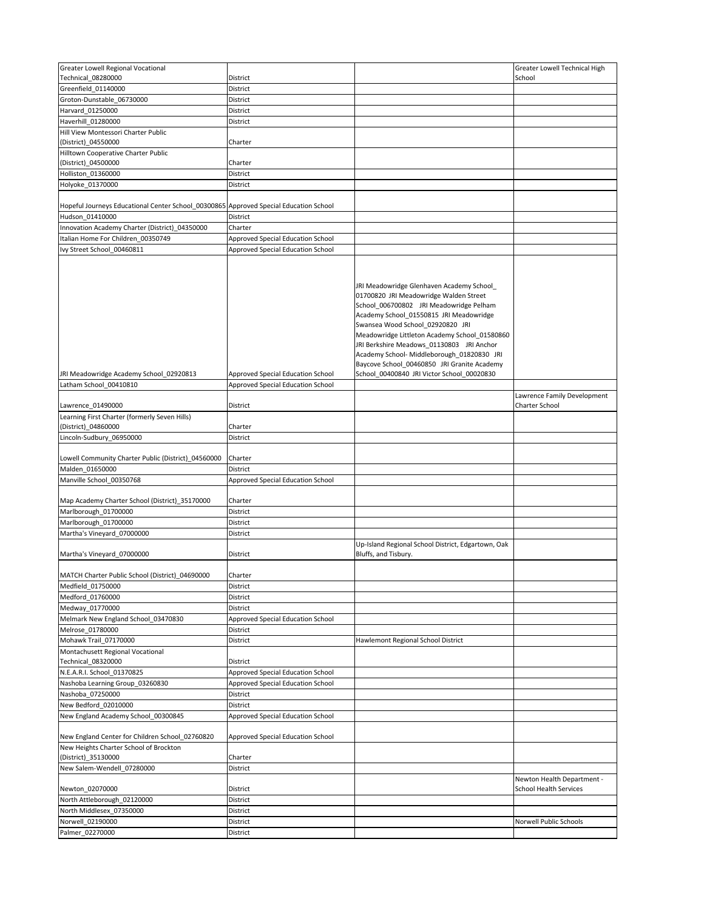| Greater Lowell Regional Vocational                                                    |                                   |                                                                                                                                                                                                                                                                                                                                                                                                         | Greater Lowell Technical High |
|---------------------------------------------------------------------------------------|-----------------------------------|---------------------------------------------------------------------------------------------------------------------------------------------------------------------------------------------------------------------------------------------------------------------------------------------------------------------------------------------------------------------------------------------------------|-------------------------------|
| Technical 08280000                                                                    | District                          |                                                                                                                                                                                                                                                                                                                                                                                                         | School                        |
| Greenfield 01140000                                                                   | District                          |                                                                                                                                                                                                                                                                                                                                                                                                         |                               |
| Groton-Dunstable 06730000                                                             | District                          |                                                                                                                                                                                                                                                                                                                                                                                                         |                               |
| Harvard 01250000                                                                      | District                          |                                                                                                                                                                                                                                                                                                                                                                                                         |                               |
| Haverhill 01280000                                                                    | District                          |                                                                                                                                                                                                                                                                                                                                                                                                         |                               |
| Hill View Montessori Charter Public                                                   |                                   |                                                                                                                                                                                                                                                                                                                                                                                                         |                               |
| (District)_04550000                                                                   | Charter                           |                                                                                                                                                                                                                                                                                                                                                                                                         |                               |
|                                                                                       |                                   |                                                                                                                                                                                                                                                                                                                                                                                                         |                               |
| Hilltown Cooperative Charter Public                                                   |                                   |                                                                                                                                                                                                                                                                                                                                                                                                         |                               |
| (District)_04500000                                                                   | Charter                           |                                                                                                                                                                                                                                                                                                                                                                                                         |                               |
| Holliston_01360000                                                                    | District                          |                                                                                                                                                                                                                                                                                                                                                                                                         |                               |
| Holyoke 01370000                                                                      | District                          |                                                                                                                                                                                                                                                                                                                                                                                                         |                               |
|                                                                                       |                                   |                                                                                                                                                                                                                                                                                                                                                                                                         |                               |
| Hopeful Journeys Educational Center School_00300865 Approved Special Education School |                                   |                                                                                                                                                                                                                                                                                                                                                                                                         |                               |
| Hudson 01410000                                                                       | District                          |                                                                                                                                                                                                                                                                                                                                                                                                         |                               |
| Innovation Academy Charter (District) 04350000                                        | Charter                           |                                                                                                                                                                                                                                                                                                                                                                                                         |                               |
| Italian Home For Children_00350749                                                    | Approved Special Education School |                                                                                                                                                                                                                                                                                                                                                                                                         |                               |
| Ivy Street School 00460811                                                            | Approved Special Education School |                                                                                                                                                                                                                                                                                                                                                                                                         |                               |
|                                                                                       |                                   |                                                                                                                                                                                                                                                                                                                                                                                                         |                               |
|                                                                                       |                                   | JRI Meadowridge Glenhaven Academy School<br>01700820 JRI Meadowridge Walden Street<br>School_006700802 JRI Meadowridge Pelham<br>Academy School_01550815 JRI Meadowridge<br>Swansea Wood School_02920820 JRI<br>Meadowridge Littleton Academy School_01580860<br>JRI Berkshire Meadows_01130803 JRI Anchor<br>Academy School- Middleborough 01820830 JRI<br>Baycove School_00460850 JRI Granite Academy |                               |
| JRI Meadowridge Academy School_02920813                                               | Approved Special Education School | School_00400840_JRI Victor School_00020830                                                                                                                                                                                                                                                                                                                                                              |                               |
| Latham School 00410810                                                                | Approved Special Education School |                                                                                                                                                                                                                                                                                                                                                                                                         |                               |
|                                                                                       |                                   |                                                                                                                                                                                                                                                                                                                                                                                                         | Lawrence Family Development   |
| Lawrence_01490000                                                                     | District                          |                                                                                                                                                                                                                                                                                                                                                                                                         | Charter School                |
| Learning First Charter (formerly Seven Hills)                                         |                                   |                                                                                                                                                                                                                                                                                                                                                                                                         |                               |
| (District)_04860000                                                                   |                                   |                                                                                                                                                                                                                                                                                                                                                                                                         |                               |
|                                                                                       | Charter                           |                                                                                                                                                                                                                                                                                                                                                                                                         |                               |
| Lincoln-Sudbury_06950000                                                              | District                          |                                                                                                                                                                                                                                                                                                                                                                                                         |                               |
|                                                                                       |                                   |                                                                                                                                                                                                                                                                                                                                                                                                         |                               |
| Lowell Community Charter Public (District)_04560000                                   | Charter                           |                                                                                                                                                                                                                                                                                                                                                                                                         |                               |
| Malden 01650000                                                                       | District                          |                                                                                                                                                                                                                                                                                                                                                                                                         |                               |
| Manville School 00350768                                                              | Approved Special Education School |                                                                                                                                                                                                                                                                                                                                                                                                         |                               |
|                                                                                       |                                   |                                                                                                                                                                                                                                                                                                                                                                                                         |                               |
| Map Academy Charter School (District)_35170000                                        | Charter                           |                                                                                                                                                                                                                                                                                                                                                                                                         |                               |
| Marlborough 01700000                                                                  | District                          |                                                                                                                                                                                                                                                                                                                                                                                                         |                               |
| Marlborough_01700000                                                                  | District                          |                                                                                                                                                                                                                                                                                                                                                                                                         |                               |
| Martha's Vineyard 07000000                                                            | District                          |                                                                                                                                                                                                                                                                                                                                                                                                         |                               |
| Martha's Vineyard 07000000                                                            | District                          | Up-Island Regional School District, Edgartown, Oak<br>Bluffs, and Tisbury.                                                                                                                                                                                                                                                                                                                              |                               |
| MATCH Charter Public School (District)_04690000                                       | Charter                           |                                                                                                                                                                                                                                                                                                                                                                                                         |                               |
| Medfield_01750000                                                                     | District                          |                                                                                                                                                                                                                                                                                                                                                                                                         |                               |
| Medford 01760000                                                                      | District                          |                                                                                                                                                                                                                                                                                                                                                                                                         |                               |
| Medway_01770000                                                                       | District                          |                                                                                                                                                                                                                                                                                                                                                                                                         |                               |
| Melmark New England School_03470830                                                   | Approved Special Education School |                                                                                                                                                                                                                                                                                                                                                                                                         |                               |
| Melrose 01780000                                                                      | District                          |                                                                                                                                                                                                                                                                                                                                                                                                         |                               |
|                                                                                       |                                   |                                                                                                                                                                                                                                                                                                                                                                                                         |                               |
| Mohawk Trail_07170000                                                                 | District                          | Hawlemont Regional School District                                                                                                                                                                                                                                                                                                                                                                      |                               |
| Montachusett Regional Vocational                                                      |                                   |                                                                                                                                                                                                                                                                                                                                                                                                         |                               |
| Technical_08320000                                                                    | District                          |                                                                                                                                                                                                                                                                                                                                                                                                         |                               |
| N.E.A.R.I. School_01370825                                                            | Approved Special Education School |                                                                                                                                                                                                                                                                                                                                                                                                         |                               |
| Nashoba Learning Group_03260830                                                       | Approved Special Education School |                                                                                                                                                                                                                                                                                                                                                                                                         |                               |
| Nashoba 07250000                                                                      | District                          |                                                                                                                                                                                                                                                                                                                                                                                                         |                               |
| New Bedford 02010000                                                                  | District                          |                                                                                                                                                                                                                                                                                                                                                                                                         |                               |
| New England Academy School_00300845                                                   | Approved Special Education School |                                                                                                                                                                                                                                                                                                                                                                                                         |                               |
| New England Center for Children School_02760820                                       | Approved Special Education School |                                                                                                                                                                                                                                                                                                                                                                                                         |                               |
| New Heights Charter School of Brockton                                                |                                   |                                                                                                                                                                                                                                                                                                                                                                                                         |                               |
| (District)_35130000                                                                   | Charter                           |                                                                                                                                                                                                                                                                                                                                                                                                         |                               |
| New Salem-Wendell 07280000                                                            | District                          |                                                                                                                                                                                                                                                                                                                                                                                                         |                               |
|                                                                                       |                                   |                                                                                                                                                                                                                                                                                                                                                                                                         | Newton Health Department -    |
| Newton_02070000                                                                       | District                          |                                                                                                                                                                                                                                                                                                                                                                                                         | <b>School Health Services</b> |
| North Attleborough 02120000                                                           | District                          |                                                                                                                                                                                                                                                                                                                                                                                                         |                               |
| North Middlesex_07350000                                                              | District                          |                                                                                                                                                                                                                                                                                                                                                                                                         |                               |
| Norwell 02190000                                                                      | District                          |                                                                                                                                                                                                                                                                                                                                                                                                         | Norwell Public Schools        |
| Palmer_02270000                                                                       | District                          |                                                                                                                                                                                                                                                                                                                                                                                                         |                               |